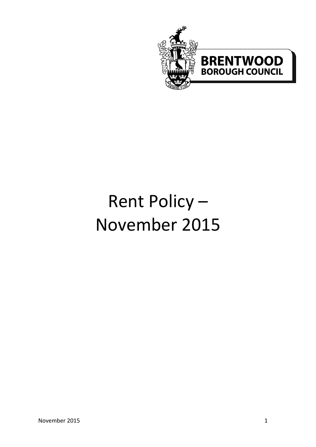

# Rent Policy – November 2015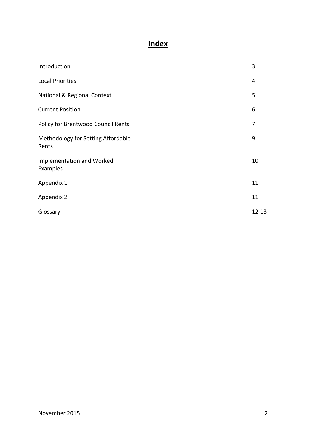# **Index**

| Introduction                                | 3         |
|---------------------------------------------|-----------|
| <b>Local Priorities</b>                     | 4         |
| National & Regional Context                 | 5         |
| <b>Current Position</b>                     | 6         |
| Policy for Brentwood Council Rents          | 7         |
| Methodology for Setting Affordable<br>Rents | 9         |
| Implementation and Worked<br>Examples       | 10        |
| Appendix 1                                  | 11        |
| Appendix 2                                  | 11        |
| Glossary                                    | $12 - 13$ |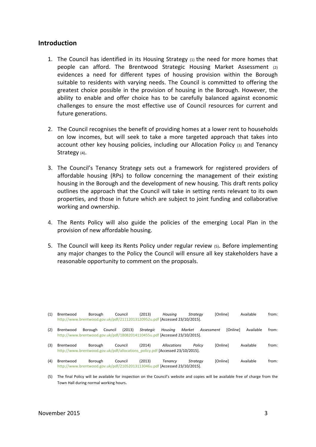#### **Introduction**

- 1. The Council has identified in its Housing Strategy  $(1)$  the need for more homes that people can afford. The Brentwood Strategic Housing Market Assessment (2) evidences a need for different types of housing provision within the Borough suitable to residents with varying needs. The Council is committed to offering the greatest choice possible in the provision of housing in the Borough. However, the ability to enable and offer choice has to be carefully balanced against economic challenges to ensure the most effective use of Council resources for current and future generations.
- 2. The Council recognises the benefit of providing homes at a lower rent to households on low incomes, but will seek to take a more targeted approach that takes into account other key housing policies, including our Allocation Policy (3) and Tenancy Strategy (4).
- 3. The Council's Tenancy Strategy sets out a framework for registered providers of affordable housing (RPs) to follow concerning the management of their existing housing in the Borough and the development of new housing. This draft rents policy outlines the approach that the Council will take in setting rents relevant to its own properties, and those in future which are subject to joint funding and collaborative working and ownership.
- 4. The Rents Policy will also guide the policies of the emerging Local Plan in the provision of new affordable housing.
- 5. The Council will keep its Rents Policy under regular review (5). Before implementing any major changes to the Policy the Council will ensure all key stakeholders have a reasonable opportunity to comment on the proposals.

| (1) | Brentwood<br>http://www.brentwood.gov.uk/pdf/21112013120952u.pdf [Accessed 23/10/2015].    | Borough            | Council | (2013)    | Housina            | Strateav                                                                                                                        | [Online] | Available | from: |
|-----|--------------------------------------------------------------------------------------------|--------------------|---------|-----------|--------------------|---------------------------------------------------------------------------------------------------------------------------------|----------|-----------|-------|
| (2) | Brentwood<br>http://www.brentwood.gov.uk/pdf/18082014110455u.pdf [Accessed 23/10/2015].    | Council<br>Borough | (2013)  | Strategic | Housina            | Market<br>Assessment                                                                                                            | [Online] | Available | from: |
| (3) | Brentwood<br>http://www.brentwood.gov.uk/pdf/allocations_policy.pdf [Accessed 23/10/2015]. | Borough            | Council | (2014)    | <b>Allocations</b> | Policy                                                                                                                          | [Online] | Available | from: |
| (4) | Brentwood<br>http://www.brentwood.gov.uk/pdf/21052013113046u.pdf [Accessed 23/10/2015].    | Borough            | Council | (2013)    | Tenancv            | Strateav                                                                                                                        | [Online] | Available | from: |
| (5) |                                                                                            |                    |         |           |                    | The final Policy will be available for inspection on the Council's website and copies will be available free of charge from the |          |           |       |

(5) The final Policy will be available for inspection on the Council's website and copies will be available free of charge from the Town Hall during normal working hours.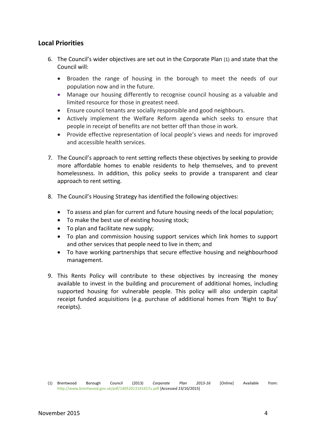#### **Local Priorities**

- 6. The Council's wider objectives are set out in the Corporate Plan (1) and state that the Council will:
	- Broaden the range of housing in the borough to meet the needs of our population now and in the future.
	- Manage our housing differently to recognise council housing as a valuable and limited resource for those in greatest need.
	- Ensure council tenants are socially responsible and good neighbours.
	- Actively implement the Welfare Reform agenda which seeks to ensure that people in receipt of benefits are not better off than those in work.
	- Provide effective representation of local people's views and needs for improved and accessible health services.
- 7. The Council's approach to rent setting reflects these objectives by seeking to provide more affordable homes to enable residents to help themselves, and to prevent homelessness. In addition, this policy seeks to provide a transparent and clear approach to rent setting.
- 8. The Council's Housing Strategy has identified the following objectives:
	- To assess and plan for current and future housing needs of the local population;
	- To make the best use of existing housing stock:
	- To plan and facilitate new supply;
	- To plan and commission housing support services which link homes to support and other services that people need to live in them; and
	- To have working partnerships that secure effective housing and neighbourhood management.
- 9. This Rents Policy will contribute to these objectives by increasing the money available to invest in the building and procurement of additional homes, including supported housing for vulnerable people. This policy will also underpin capital receipt funded acquisitions (e.g. purchase of additional homes from 'Right to Buy' receipts).

<sup>(1)</sup> Brentwood Borough Council (2013) *Corporate Plan 2013-16* [Online] Available from: <http://www.brentwood.gov.uk/pdf/14052013141657u.pdf> [Accessed 23/10/2015]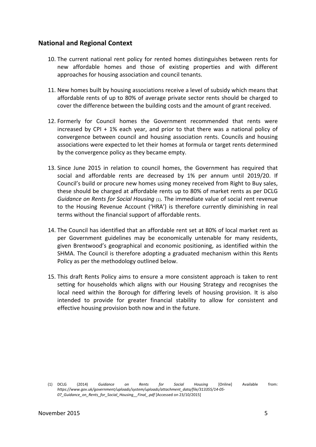#### **National and Regional Context**

- 10. The current national rent policy for rented homes distinguishes between rents for new affordable homes and those of existing properties and with different approaches for housing association and council tenants.
- 11. New homes built by housing associations receive a level of subsidy which means that affordable rents of up to 80% of average private sector rents should be charged to cover the difference between the building costs and the amount of grant received.
- 12. Formerly for Council homes the Government recommended that rents were increased by CPI + 1% each year, and prior to that there was a national policy of convergence between council and housing association rents. Councils and housing associations were expected to let their homes at formula or target rents determined by the convergence policy as they became empty.
- 13. Since June 2015 in relation to council homes, the Government has required that social and affordable rents are decreased by 1% per annum until 2019/20. If Council's build or procure new homes using money received from Right to Buy sales, these should be charged at affordable rents up to 80% of market rents as per DCLG *Guidance on Rents for Social Housing* (1). The immediate value of social rent revenue to the Housing Revenue Account ('HRA') is therefore currently diminishing in real terms without the financial support of affordable rents.
- 14. The Council has identified that an affordable rent set at 80% of local market rent as per Government guidelines may be economically untenable for many residents, given Brentwood's geographical and economic positioning, as identified within the SHMA. The Council is therefore adopting a graduated mechanism within this Rents Policy as per the methodology outlined below.
- 15. This draft Rents Policy aims to ensure a more consistent approach is taken to rent setting for households which aligns with our Housing Strategy and recognises the local need within the Borough for differing levels of housing provision. It is also intended to provide for greater financial stability to allow for consistent and effective housing provision both now and in the future.

<sup>(1)</sup> DCLG (2014) *Guidance on Rents for Social Housing* [Online] Available from: *https://www.gov.uk/government/uploads/system/uploads/attachment\_data/file/313355/14-05- 07\_Guidance\_on\_Rents\_for\_Social\_Housing\_\_Final\_.pdf* [Accessed on 23/10/2015]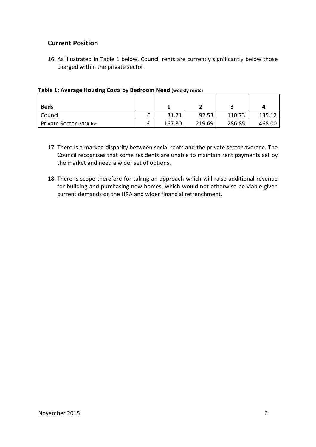# **Current Position**

16. As illustrated in Table 1 below, Council rents are currently significantly below those charged within the private sector.

| <b>Beds</b>             |        |        |        |        |
|-------------------------|--------|--------|--------|--------|
| Council                 | 81.21  | 92.53  | 110.73 | 135.12 |
| Private Sector (VOA loc | 167.80 | 219.69 | 286.85 | 468.00 |

| Table 1: Average Housing Costs by Bedroom Need (weekly rents) |  |  |  |  |
|---------------------------------------------------------------|--|--|--|--|
|                                                               |  |  |  |  |

- 17. There is a marked disparity between social rents and the private sector average. The Council recognises that some residents are unable to maintain rent payments set by the market and need a wider set of options.
- 18. There is scope therefore for taking an approach which will raise additional revenue for building and purchasing new homes, which would not otherwise be viable given current demands on the HRA and wider financial retrenchment.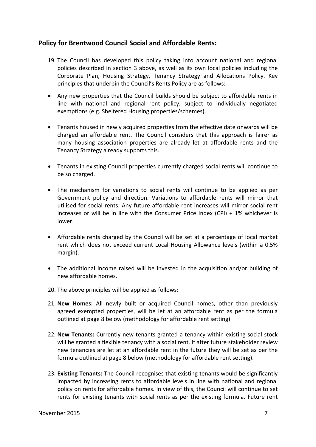# **Policy for Brentwood Council Social and Affordable Rents:**

- 19. The Council has developed this policy taking into account national and regional policies described in section 3 above, as well as its own local policies including the Corporate Plan, Housing Strategy, Tenancy Strategy and Allocations Policy. Key principles that underpin the Council's Rents Policy are as follows:
- Any new properties that the Council builds should be subject to affordable rents in line with national and regional rent policy, subject to individually negotiated exemptions (e.g. Sheltered Housing properties/schemes).
- Tenants housed in newly acquired properties from the effective date onwards will be charged an affordable rent. The Council considers that this approach is fairer as many housing association properties are already let at affordable rents and the Tenancy Strategy already supports this.
- Tenants in existing Council properties currently charged social rents will continue to be so charged.
- The mechanism for variations to social rents will continue to be applied as per Government policy and direction. Variations to affordable rents will mirror that utilised for social rents. Any future affordable rent increases will mirror social rent increases or will be in line with the Consumer Price Index (CPI) + 1% whichever is lower.
- Affordable rents charged by the Council will be set at a percentage of local market rent which does not exceed current Local Housing Allowance levels (within a 0.5% margin).
- The additional income raised will be invested in the acquisition and/or building of new affordable homes.
- 20. The above principles will be applied as follows:
- 21. **New Homes:** All newly built or acquired Council homes, other than previously agreed exempted properties, will be let at an affordable rent as per the formula outlined at page 8 below (methodology for affordable rent setting).
- 22. **New Tenants:** Currently new tenants granted a tenancy within existing social stock will be granted a flexible tenancy with a social rent. If after future stakeholder review new tenancies are let at an affordable rent in the future they will be set as per the formula outlined at page 8 below (methodology for affordable rent setting).
- 23. **Existing Tenants:** The Council recognises that existing tenants would be significantly impacted by increasing rents to affordable levels in line with national and regional policy on rents for affordable homes. In view of this, the Council will continue to set rents for existing tenants with social rents as per the existing formula. Future rent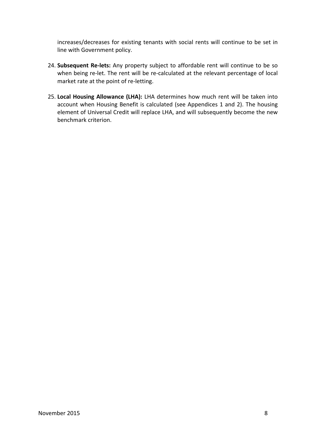increases/decreases for existing tenants with social rents will continue to be set in line with Government policy.

- 24. **Subsequent Re-lets:** Any property subject to affordable rent will continue to be so when being re-let. The rent will be re-calculated at the relevant percentage of local market rate at the point of re-letting.
- 25. **Local Housing Allowance (LHA):** LHA determines how much rent will be taken into account when Housing Benefit is calculated (see Appendices 1 and 2). The housing element of Universal Credit will replace LHA, and will subsequently become the new benchmark criterion.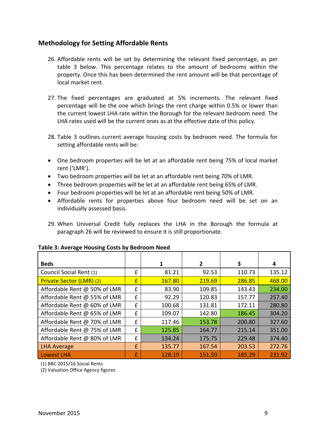# **Methodology for Setting Affordable Rents**

- 26. Affordable rents will be set by determining the relevant fixed percentage, as per table 3 below. This percentage relates to the amount of bedrooms within the property. Once this has been determined the rent amount will be that percentage of local market rent.
- 27. The fixed percentages are graduated at 5% increments. The relevant fixed percentage will be the one which brings the rent charge within 0.5% or lower than the current lowest LHA rate within the Borough for the relevant bedroom need. The LHA rates used will be the current ones as at the effective date of this policy.
- 28. Table 3 outlines current average housing costs by bedroom need. The formula for setting affordable rents will be:
- One bedroom properties will be let at an affordable rent being 75% of local market rent ('LMR').
- Two bedroom properties will be let at an affordable rent being 70% of LMR.
- Three bedroom properties will be let at an affordable rent being 65% of LMR.
- Four bedroom properties will be let at an affordable rent being 50% of LMR.
- Affordable rents for properties above four bedroom need will be set on an individually assessed basis.
- 29. When Universal Credit fully replaces the LHA in the Borough the formula at paragraph 26 will be reviewed to ensure it is still proportionate.

| <b>Beds</b>                  |   | 1      | 2      | 3      | 4      |
|------------------------------|---|--------|--------|--------|--------|
| Council Social Rent (1)      | £ | 81.21  | 92.53  | 110.73 | 135.12 |
| Private Sector (LMR) (2)     | £ | 167.80 | 219.69 | 286.85 | 468.00 |
| Affordable Rent @ 50% of LMR | f | 83.90  | 109.85 | 143.43 | 234.00 |
| Affordable Rent @ 55% of LMR | £ | 92.29  | 120.83 | 157.77 | 257.40 |
| Affordable Rent @ 60% of LMR | £ | 100.68 | 131.81 | 172.11 | 280.80 |
| Affordable Rent @ 65% of LMR | £ | 109.07 | 142.80 | 186.45 | 304.20 |
| Affordable Rent @ 70% of LMR | £ | 117.46 | 153.78 | 200.80 | 327.60 |
| Affordable Rent @ 75% of LMR | £ | 125.85 | 164.77 | 215.14 | 351.00 |
| Affordable Rent @ 80% of LMR | £ | 134.24 | 175.75 | 229.48 | 374.40 |
| <b>LHA Average</b>           | £ | 135.77 | 167.54 | 203.53 | 272.76 |
| Lowest LHA                   | £ | 128.19 | 151.50 | 185.29 | 231.92 |

#### **Table 3: Average Housing Costs by Bedroom Need**

(1) BBC 2015/16 Social Rents

(2) Valuation Office Agency figures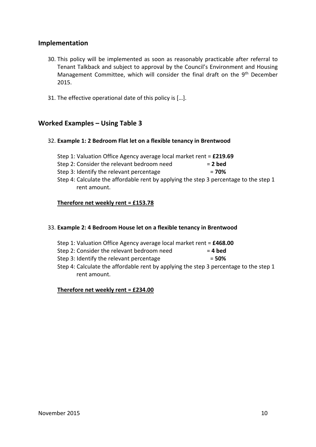#### **Implementation**

- 30. This policy will be implemented as soon as reasonably practicable after referral to Tenant Talkback and subject to approval by the Council's Environment and Housing Management Committee, which will consider the final draft on the 9<sup>th</sup> December 2015.
- 31. The effective operational date of this policy is […].

# **Worked Examples – Using Table 3**

#### 32. **Example 1: 2 Bedroom Flat let on a flexible tenancy in Brentwood**

Step 1: Valuation Office Agency average local market rent = **£219.69** Step 2: Consider the relevant bedroom need = **2 bed** Step 3: Identify the relevant percentage = **70%** Step 4: Calculate the affordable rent by applying the step 3 percentage to the step 1 rent amount.

#### **Therefore net weekly rent = £153.78**

#### 33. **Example 2: 4 Bedroom House let on a flexible tenancy in Brentwood**

- Step 1: Valuation Office Agency average local market rent = **£468.00**
- Step 2: Consider the relevant bedroom need = **4 bed**
- Step 3: Identify the relevant percentage = **50%**
- Step 4: Calculate the affordable rent by applying the step 3 percentage to the step 1 rent amount.

#### **Therefore net weekly rent = £234.00**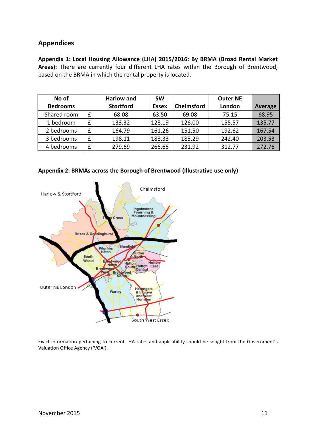# **Appendices**

**Appendix 1: Local Housing Allowance (LHA) 2015/2016: By BRMA (Broad Rental Market Areas):** There are currently four different LHA rates within the Borough of Brentwood, based on the BRMA in which the rental property is located.

| No of           |   | <b>Harlow and</b> | <b>SW</b>    |                   | <b>Outer NE</b> |                |
|-----------------|---|-------------------|--------------|-------------------|-----------------|----------------|
| <b>Bedrooms</b> |   | <b>Stortford</b>  | <b>Essex</b> | <b>Chelmsford</b> | London          | <b>Average</b> |
| Shared room     | £ | 68.08             | 63.50        | 69.08             | 75.15           | 68.95          |
| 1 bedroom       | f | 133.32            | 128.19       | 126.00            | 155.57          | 135.77         |
| 2 bedrooms      | £ | 164.79            | 161.26       | 151.50            | 192.62          | 167.54         |
| 3 bedrooms      | £ | 198.11            | 188.33       | 185.29            | 242.40          | 203.53         |
| 4 bedrooms      | £ | 279.69            | 266.65       | 231.92            | 312.77          | 272.76         |





Exact information pertaining to current LHA rates and applicability should be sought from the Government's Valuation Office Agency ('VOA').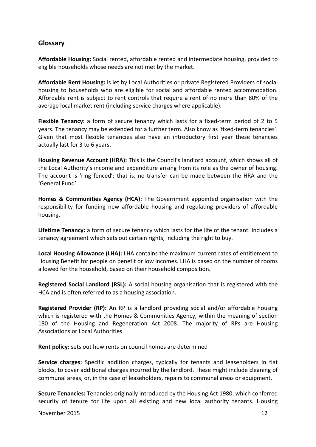# **Glossary**

**Affordable Housing:** Social rented, affordable rented and intermediate housing, provided to eligible households whose needs are not met by the market.

**Affordable Rent Housing:** is let by Local Authorities or private Registered Providers of social housing to households who are eligible for social and affordable rented accommodation. Affordable rent is subject to rent controls that require a rent of no more than 80% of the average local market rent (including service charges where applicable).

**Flexible Tenancy:** a form of secure tenancy which lasts for a fixed-term period of 2 to 5 years. The tenancy may be extended for a further term. Also know as 'fixed-term tenancies'. Given that most flexible tenancies also have an introductory first year these tenancies actually last for 3 to 6 years.

**Housing Revenue Account (HRA):** This is the Council's landlord account, which shows all of the Local Authority's income and expenditure arising from its role as the owner of housing. The account is 'ring fenced'; that is, no transfer can be made between the HRA and the 'General Fund'.

**Homes & Communities Agency (HCA):** The Government appointed organisation with the responsibility for funding new affordable housing and regulating providers of affordable housing.

**Lifetime Tenancy:** a form of secure tenancy which lasts for the life of the tenant. Includes a tenancy agreement which sets out certain rights, including the right to buy.

**Local Housing Allowance (LHA):** LHA contains the maximum current rates of entitlement to Housing Benefit for people on benefit or low incomes. LHA is based on the number of rooms allowed for the household, based on their household composition.

**Registered Social Landlord (RSL):** A social housing organisation that is registered with the HCA and is often referred to as a housing association.

**Registered Provider (RP):** An RP is a landlord providing social and/or affordable housing which is registered with the Homes & Communities Agency, within the meaning of section 180 of the Housing and Regeneration Act 2008. The majority of RPs are Housing Associations or Local Authorities.

**Rent policy:** sets out how rents on council homes are determined

**Service charges:** Specific addition charges, typically for tenants and leaseholders in flat blocks, to cover additional charges incurred by the landlord. These might include cleaning of communal areas, or, in the case of leaseholders, repairs to communal areas or equipment.

**Secure Tenancies:** Tenancies originally introduced by the Housing Act 1980, which conferred security of tenure for life upon all existing and new local authority tenants. Housing

November 2015 12